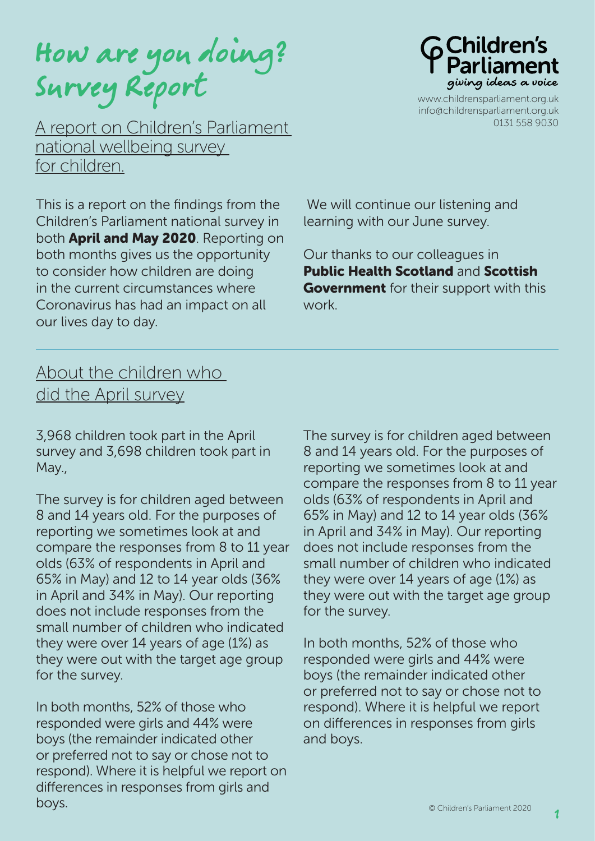How are you doing? Survey Report

A report on Children's Parliament national wellbeing survey for children.

This is a report on the findings from the Children's Parliament national survey in both **April and May 2020**. Reporting on both months gives us the opportunity to consider how children are doing in the current circumstances where Coronavirus has had an impact on all our lives day to day.



www.childrensparliament.org.uk info@childrensparliament.org.uk 0131 558 9030

We will continue our listening and learning with our June survey.

Our thanks to our colleagues in Public Health Scotland and Scottish **Government** for their support with this work.

## About the children who did the April survey

3,968 children took part in the April survey and 3,698 children took part in May.,

The survey is for children aged between 8 and 14 years old. For the purposes of reporting we sometimes look at and compare the responses from 8 to 11 year olds (63% of respondents in April and 65% in May) and 12 to 14 year olds (36% in April and 34% in May). Our reporting does not include responses from the small number of children who indicated they were over 14 years of age (1%) as they were out with the target age group for the survey.

In both months, 52% of those who responded were girls and 44% were boys (the remainder indicated other or preferred not to say or chose not to respond). Where it is helpful we report on differences in responses from girls and boys.

The survey is for children aged between 8 and 14 years old. For the purposes of reporting we sometimes look at and compare the responses from 8 to 11 year olds (63% of respondents in April and 65% in May) and 12 to 14 year olds (36% in April and 34% in May). Our reporting does not include responses from the small number of children who indicated they were over 14 years of age (1%) as they were out with the target age group for the survey.

In both months, 52% of those who responded were girls and 44% were boys (the remainder indicated other or preferred not to say or chose not to respond). Where it is helpful we report on differences in responses from girls and boys.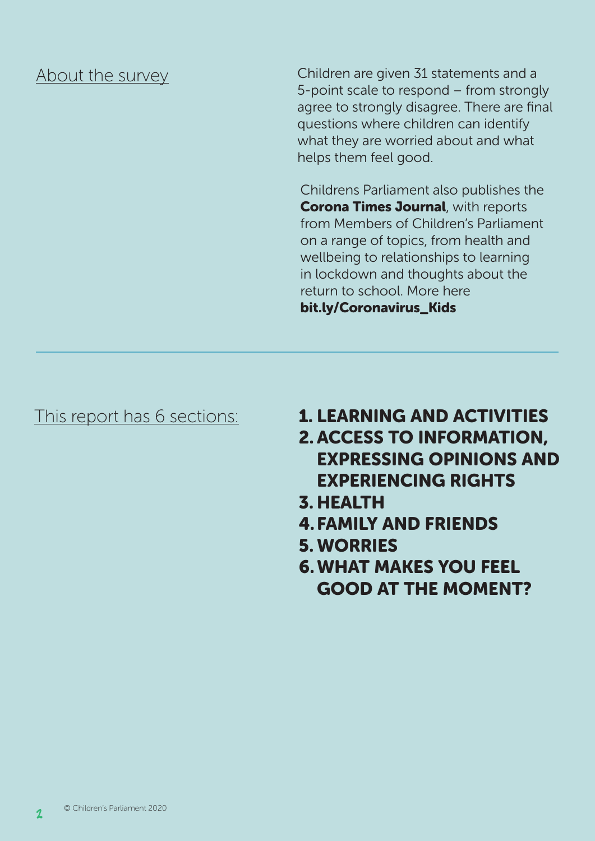## About the survey

Children are given 31 statements and a 5-point scale to respond – from strongly agree to strongly disagree. There are final questions where children can identify what they are worried about and what helps them feel good.

Childrens Parliament also publishes the **Corona Times Journal, with reports** from Members of Children's Parliament on a range of topics, from health and wellbeing to relationships to learning in lockdown and thoughts about the return to school. More here bit.ly/Coronavirus\_Kids

- This report has 6 sections: **1. LEARNING AND ACTIVITIES** 
	- 2. ACCESS TO INFORMATION, EXPRESSING OPINIONS AND EXPERIENCING RIGHTS
	- 3. HEALTH
	- 4.FAMILY AND FRIENDS
	- 5. WORRIES
	- 6.WHAT MAKES YOU FEEL GOOD AT THE MOMENT?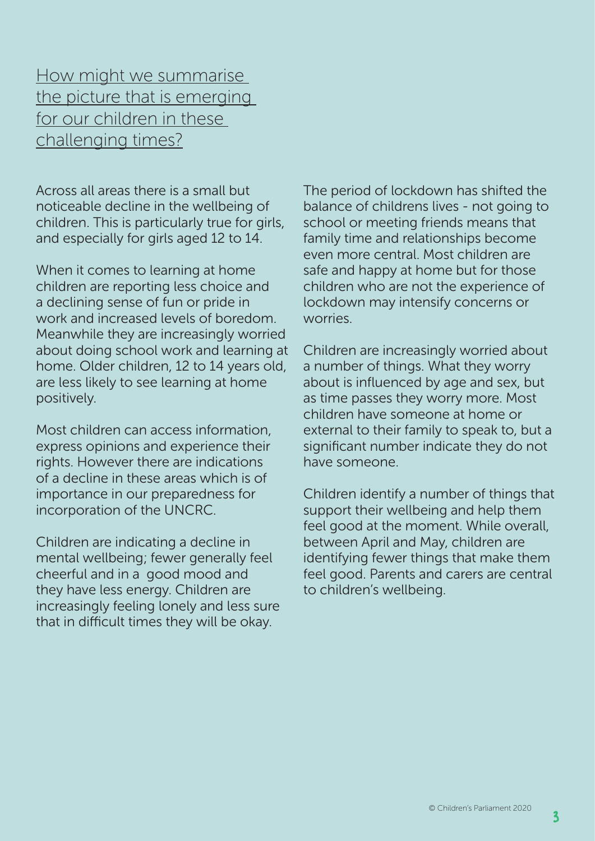How might we summarise the picture that is emerging for our children in these challenging times?

Across all areas there is a small but noticeable decline in the wellbeing of children. This is particularly true for girls, and especially for girls aged 12 to 14.

When it comes to learning at home children are reporting less choice and a declining sense of fun or pride in work and increased levels of boredom. Meanwhile they are increasingly worried about doing school work and learning at home. Older children, 12 to 14 years old, are less likely to see learning at home positively.

Most children can access information, express opinions and experience their rights. However there are indications of a decline in these areas which is of importance in our preparedness for incorporation of the UNCRC.

Children are indicating a decline in mental wellbeing; fewer generally feel cheerful and in a good mood and they have less energy. Children are increasingly feeling lonely and less sure that in difficult times they will be okay.

The period of lockdown has shifted the balance of childrens lives - not going to school or meeting friends means that family time and relationships become even more central. Most children are safe and happy at home but for those children who are not the experience of lockdown may intensify concerns or worries.

Children are increasingly worried about a number of things. What they worry about is influenced by age and sex, but as time passes they worry more. Most children have someone at home or external to their family to speak to, but a significant number indicate they do not have someone.

Children identify a number of things that support their wellbeing and help them feel good at the moment. While overall, between April and May, children are identifying fewer things that make them feel good. Parents and carers are central to children's wellbeing.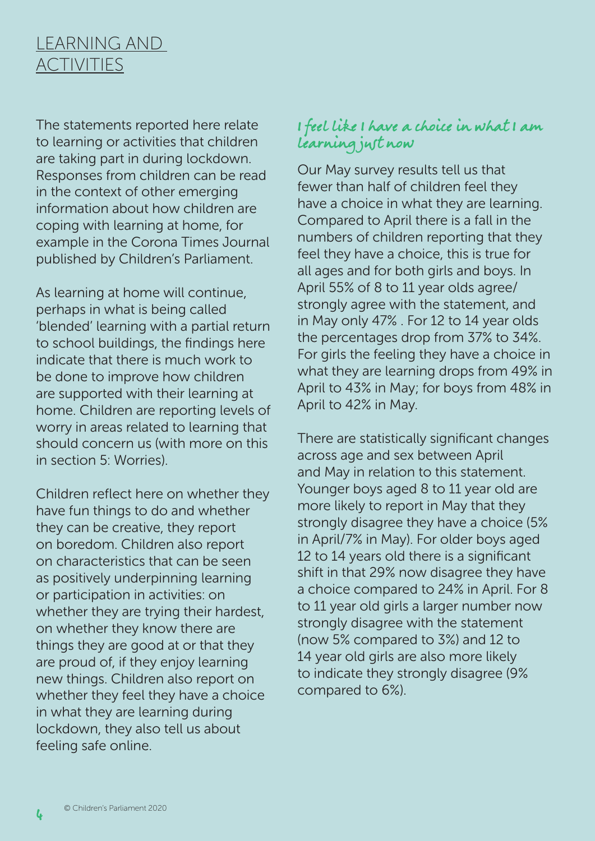## LEARNING AND **ACTIVITIES**

The statements reported here relate to learning or activities that children are taking part in during lockdown. Responses from children can be read in the context of other emerging information about how children are coping with learning at home, for example in the Corona Times Journal published by Children's Parliament.

As learning at home will continue, perhaps in what is being called 'blended' learning with a partial return to school buildings, the findings here indicate that there is much work to be done to improve how children are supported with their learning at home. Children are reporting levels of worry in areas related to learning that should concern us (with more on this in section 5: Worries).

Children reflect here on whether they have fun things to do and whether they can be creative, they report on boredom. Children also report on characteristics that can be seen as positively underpinning learning or participation in activities: on whether they are trying their hardest, on whether they know there are things they are good at or that they are proud of, if they enjoy learning new things. Children also report on whether they feel they have a choice in what they are learning during lockdown, they also tell us about feeling safe online.

### I feel like I have a choice in what I am learning just now

Our May survey results tell us that fewer than half of children feel they have a choice in what they are learning. Compared to April there is a fall in the numbers of children reporting that they feel they have a choice, this is true for all ages and for both girls and boys. In April 55% of 8 to 11 year olds agree/ strongly agree with the statement, and in May only 47% . For 12 to 14 year olds the percentages drop from 37% to 34%. For girls the feeling they have a choice in what they are learning drops from 49% in April to 43% in May; for boys from 48% in April to 42% in May.

There are statistically significant changes across age and sex between April and May in relation to this statement. Younger boys aged 8 to 11 year old are more likely to report in May that they strongly disagree they have a choice (5% in April/7% in May). For older boys aged 12 to 14 years old there is a significant shift in that 29% now disagree they have a choice compared to 24% in April. For 8 to 11 year old girls a larger number now strongly disagree with the statement (now 5% compared to 3%) and 12 to 14 year old girls are also more likely to indicate they strongly disagree (9% compared to 6%).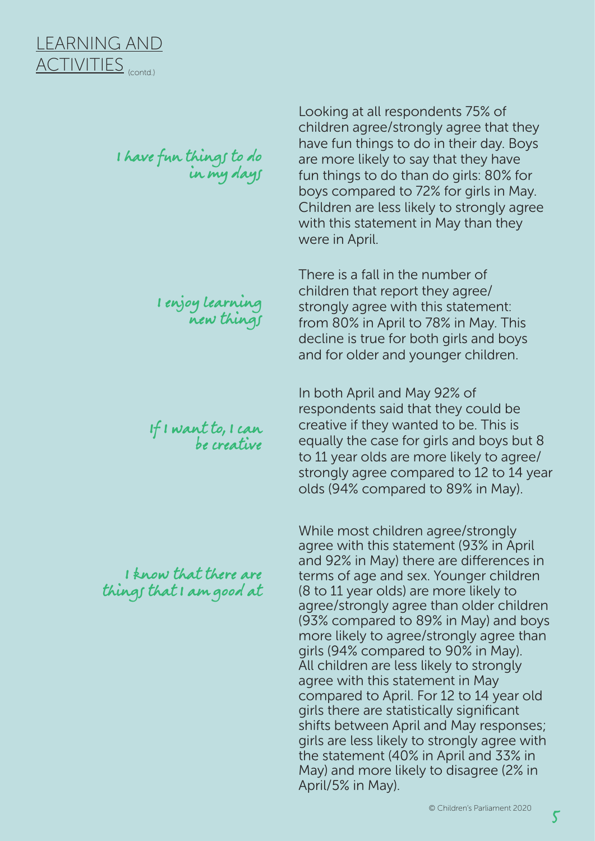I have fun things to do in my days

> I enjoy learning new things

If I want to, I can be creative

I know that there are things that I am good at

Looking at all respondents 75% of children agree/strongly agree that they have fun things to do in their day. Boys are more likely to say that they have fun things to do than do girls: 80% for boys compared to 72% for girls in May. Children are less likely to strongly agree with this statement in May than they were in April.

There is a fall in the number of children that report they agree/ strongly agree with this statement: from 80% in April to 78% in May. This decline is true for both girls and boys and for older and younger children.

In both April and May 92% of respondents said that they could be creative if they wanted to be. This is equally the case for girls and boys but 8 to 11 year olds are more likely to agree/ strongly agree compared to 12 to 14 year olds (94% compared to 89% in May).

While most children agree/strongly agree with this statement (93% in April and 92% in May) there are differences in terms of age and sex. Younger children (8 to 11 year olds) are more likely to agree/strongly agree than older children (93% compared to 89% in May) and boys more likely to agree/strongly agree than girls (94% compared to 90% in May). All children are less likely to strongly agree with this statement in May compared to April. For 12 to 14 year old girls there are statistically significant shifts between April and May responses; girls are less likely to strongly agree with the statement (40% in April and 33% in May) and more likely to disagree (2% in April/5% in May).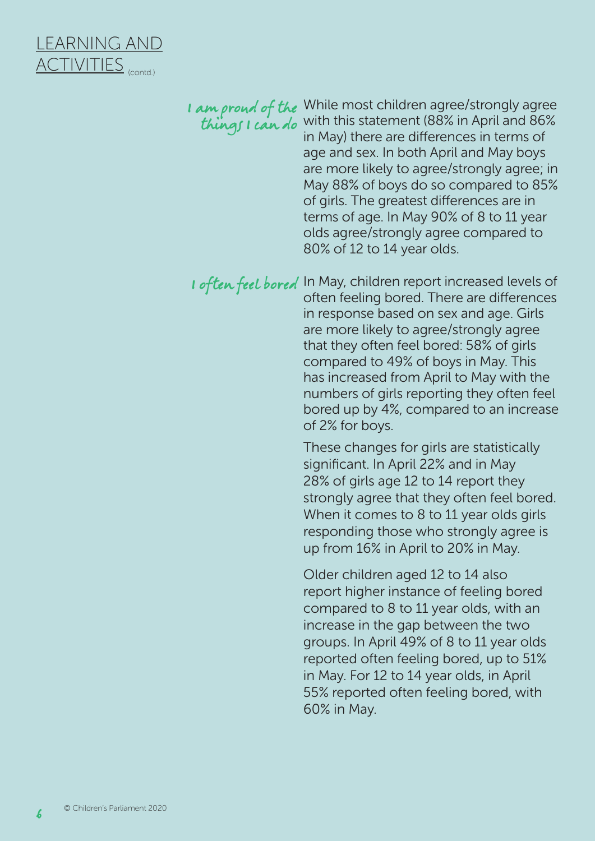

These changes for girls are statistically significant. In April 22% and in May 28% of girls age 12 to 14 report they strongly agree that they often feel bored. When it comes to 8 to 11 year olds girls responding those who strongly agree is up from 16% in April to 20% in May. I am proud of the While most children agree/strongly agree things I can do with this statement (88% in April and 86% in May) there are differences in terms of age and sex. In both April and May boys are more likely to agree/strongly agree; in May 88% of boys do so compared to 85% of girls. The greatest differences are in terms of age. In May 90% of 8 to 11 year olds agree/strongly agree compared to 80% of 12 to 14 year olds. I often feel bored In May, children report increased levels of often feeling bored. There are differences in response based on sex and age. Girls are more likely to agree/strongly agree that they often feel bored: 58% of girls compared to 49% of boys in May. This has increased from April to May with the numbers of girls reporting they often feel bored up by 4%, compared to an increase of 2% for boys.

> Older children aged 12 to 14 also report higher instance of feeling bored compared to 8 to 11 year olds, with an increase in the gap between the two groups. In April 49% of 8 to 11 year olds reported often feeling bored, up to 51% in May. For 12 to 14 year olds, in April 55% reported often feeling bored, with 60% in May.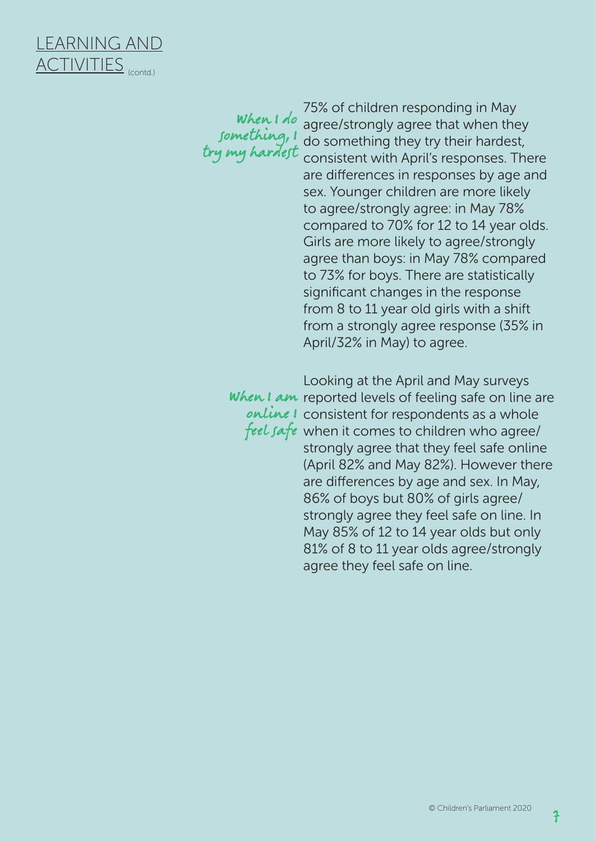

something, 1 try my hardest

75% of children responding in May When  $1$  do agree/strongly agree that when they do something they try their hardest, consistent with April's responses. There are differences in responses by age and sex. Younger children are more likely to agree/strongly agree: in May 78% compared to 70% for 12 to 14 year olds. Girls are more likely to agree/strongly agree than boys: in May 78% compared to 73% for boys. There are statistically significant changes in the response from 8 to 11 year old girls with a shift from a strongly agree response (35% in April/32% in May) to agree.

Looking at the April and May surveys When I am reported levels of feeling safe on line are  $online$  I consistent for respondents as a whole feel safe when it comes to children who agree/ strongly agree that they feel safe online (April 82% and May 82%). However there are differences by age and sex. In May, 86% of boys but 80% of girls agree/ strongly agree they feel safe on line. In May 85% of 12 to 14 year olds but only 81% of 8 to 11 year olds agree/strongly agree they feel safe on line.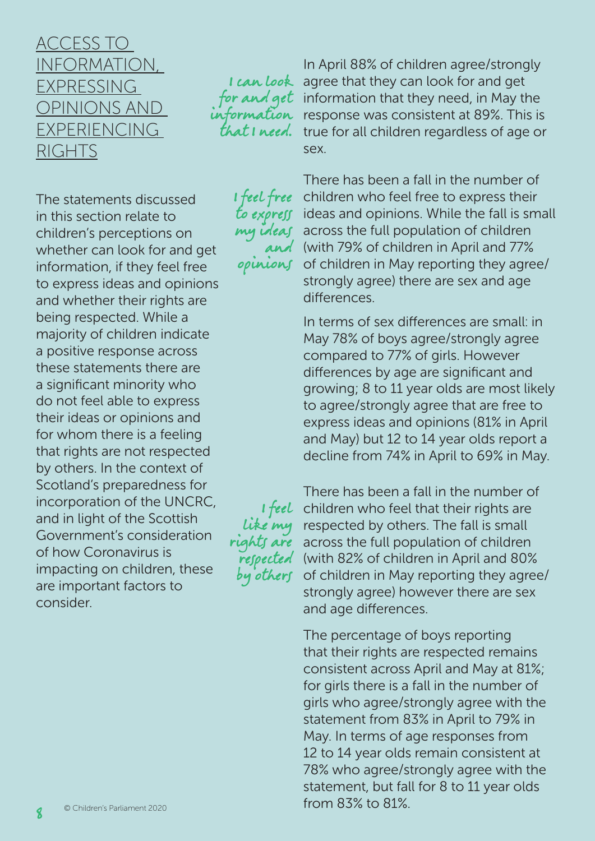## ACCESS TO INFORMATION, EXPRESSING OPINIONS AND EXPERIENCING RIGHTS

The statements discussed in this section relate to children's perceptions on whether can look for and get information, if they feel free to express ideas and opinions and whether their rights are being respected. While a majority of children indicate a positive response across these statements there are a significant minority who do not feel able to express their ideas or opinions and for whom there is a feeling that rights are not respected by others. In the context of Scotland's preparedness for incorporation of the UNCRC, and in light of the Scottish Government's consideration of how Coronavirus is impacting on children, these are important factors to consider.

I can look information at I need.

> I feel free to express my ideas and opinions

I feel rights are by others

In April 88% of children agree/strongly agree that they can look for and get for and get information that they need, in May the response was consistent at 89%. This is true for all children regardless of age or sex.

> There has been a fall in the number of children who feel free to express their ideas and opinions. While the fall is small across the full population of children (with 79% of children in April and 77% of children in May reporting they agree/ strongly agree) there are sex and age differences.

In terms of sex differences are small: in May 78% of boys agree/strongly agree compared to 77% of girls. However differences by age are significant and growing; 8 to 11 year olds are most likely to agree/strongly agree that are free to express ideas and opinions (81% in April and May) but 12 to 14 year olds report a decline from 74% in April to 69% in May.

There has been a fall in the number of children who feel that their rights are *like* my respected by others. The fall is small across the full population of children respected (with 82% of children in April and 80% of children in May reporting they agree/ strongly agree) however there are sex and age differences.

> The percentage of boys reporting that their rights are respected remains consistent across April and May at 81%; for girls there is a fall in the number of girls who agree/strongly agree with the statement from 83% in April to 79% in May. In terms of age responses from 12 to 14 year olds remain consistent at 78% who agree/strongly agree with the statement, but fall for 8 to 11 year olds from 83% to 81%.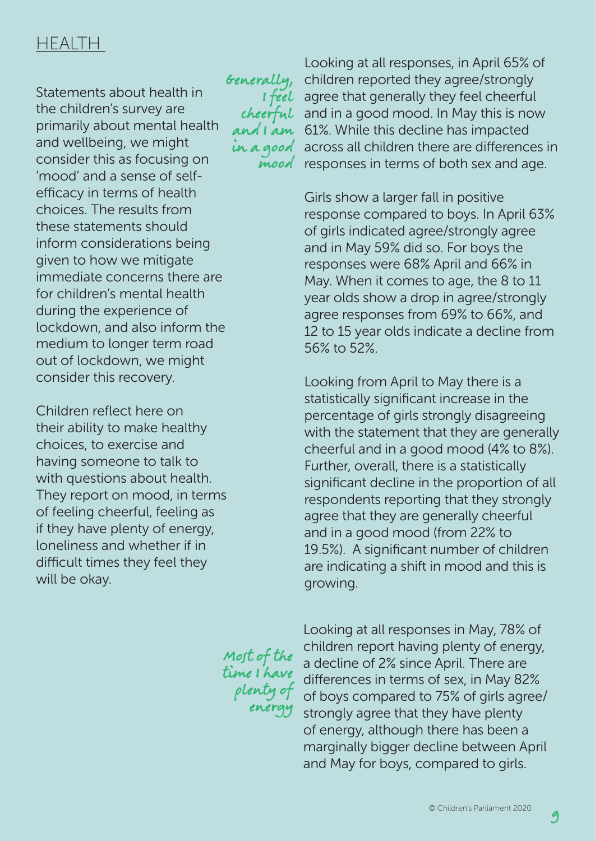## **HEALTH**

Statements about health in the children's survey are primarily about mental health and wellbeing, we might consider this as focusing on 'mood' and a sense of selfefficacy in terms of health choices. The results from these statements should inform considerations being given to how we mitigate immediate concerns there are for children's mental health during the experience of lockdown, and also inform the medium to longer term road out of lockdown, we might consider this recovery.

Children reflect here on their ability to make healthy choices, to exercise and having someone to talk to with questions about health. They report on mood, in terms of feeling cheerful, feeling as if they have plenty of energy, loneliness and whether if in difficult times they feel they will be okay.

Generally, I feel cheerful and I am in a good mood

Looking at all responses, in April 65% of children reported they agree/strongly agree that generally they feel cheerful and in a good mood. In May this is now 61%. While this decline has impacted across all children there are differences in responses in terms of both sex and age.

Girls show a larger fall in positive response compared to boys. In April 63% of girls indicated agree/strongly agree and in May 59% did so. For boys the responses were 68% April and 66% in May. When it comes to age, the 8 to 11 year olds show a drop in agree/strongly agree responses from 69% to 66%, and 12 to 15 year olds indicate a decline from 56% to 52%.

Looking from April to May there is a statistically significant increase in the percentage of girls strongly disagreeing with the statement that they are generally cheerful and in a good mood (4% to 8%). Further, overall, there is a statistically significant decline in the proportion of all respondents reporting that they strongly agree that they are generally cheerful and in a good mood (from 22% to 19.5%). A significant number of children are indicating a shift in mood and this is growing.

Most of the time I have plenty of energy

Looking at all responses in May, 78% of children report having plenty of energy, a decline of 2% since April. There are differences in terms of sex, in May 82% of boys compared to 75% of girls agree/ strongly agree that they have plenty of energy, although there has been a marginally bigger decline between April and May for boys, compared to girls.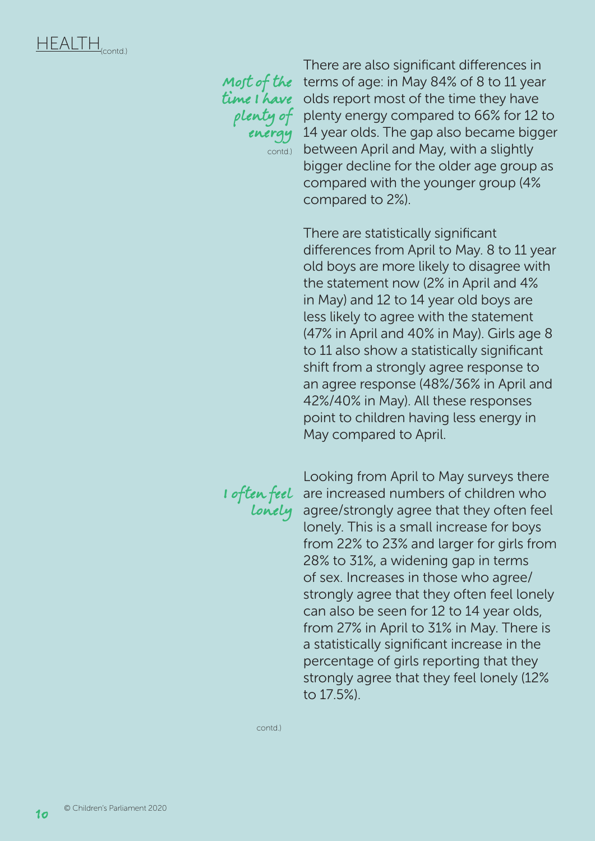

plenty of energy contd.)

There are also significant differences in *Moft of the* terms of age: in May 84% of 8 to 11 year time I have olds report most of the time they have plenty energy compared to 66% for 12 to 14 year olds. The gap also became bigger between April and May, with a slightly bigger decline for the older age group as compared with the younger group (4% compared to 2%).

> There are statistically significant differences from April to May. 8 to 11 year old boys are more likely to disagree with the statement now (2% in April and 4% in May) and 12 to 14 year old boys are less likely to agree with the statement (47% in April and 40% in May). Girls age 8 to 11 also show a statistically significant shift from a strongly agree response to an agree response (48%/36% in April and 42%/40% in May). All these responses point to children having less energy in May compared to April.

lonely

Looking from April to May surveys there **I** often feel are increased numbers of children who agree/strongly agree that they often feel lonely. This is a small increase for boys from 22% to 23% and larger for girls from 28% to 31%, a widening gap in terms of sex. Increases in those who agree/ strongly agree that they often feel lonely can also be seen for 12 to 14 year olds, from 27% in April to 31% in May. There is a statistically significant increase in the percentage of girls reporting that they strongly agree that they feel lonely (12% to 17.5%).

contd.)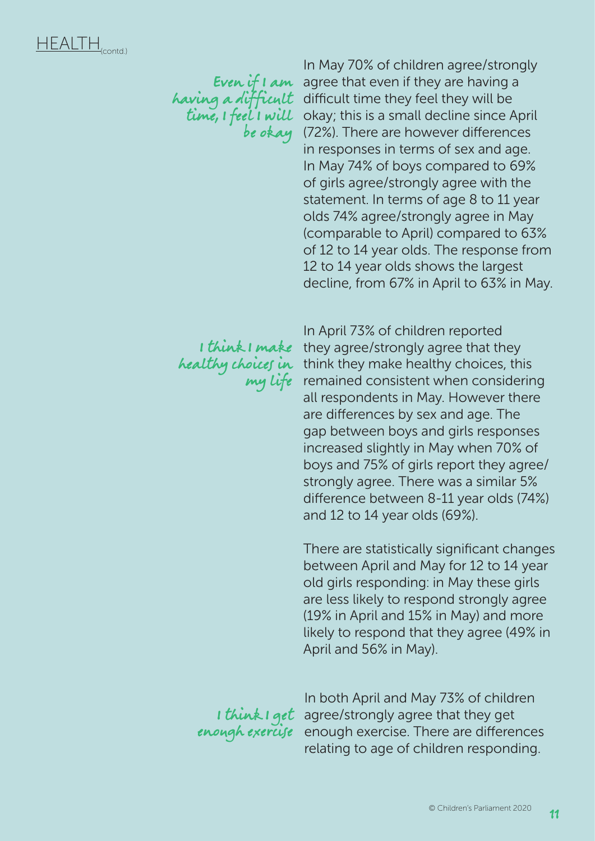be okay

In May 70% of children agree/strongly Even if I am agree that even if they are having a having a difficult difficult time they feel they will be time, I feel I will okay; this is a small decline since April (72%). There are however differences in responses in terms of sex and age. In May 74% of boys compared to 69% of girls agree/strongly agree with the statement. In terms of age 8 to 11 year olds 74% agree/strongly agree in May (comparable to April) compared to 63% of 12 to 14 year olds. The response from 12 to 14 year olds shows the largest decline, from 67% in April to 63% in May.

my life

In April 73% of children reported I think I make they agree/strongly agree that they *healthy choices in* think they make healthy choices, this remained consistent when considering all respondents in May. However there are differences by sex and age. The gap between boys and girls responses increased slightly in May when 70% of boys and 75% of girls report they agree/ strongly agree. There was a similar 5% difference between 8-11 year olds (74%) and 12 to 14 year olds (69%).

> There are statistically significant changes between April and May for 12 to 14 year old girls responding: in May these girls are less likely to respond strongly agree (19% in April and 15% in May) and more likely to respond that they agree (49% in April and 56% in May).

In both April and May 73% of children **I think I get** agree/strongly agree that they get enough exercise enough exercise. There are differences relating to age of children responding.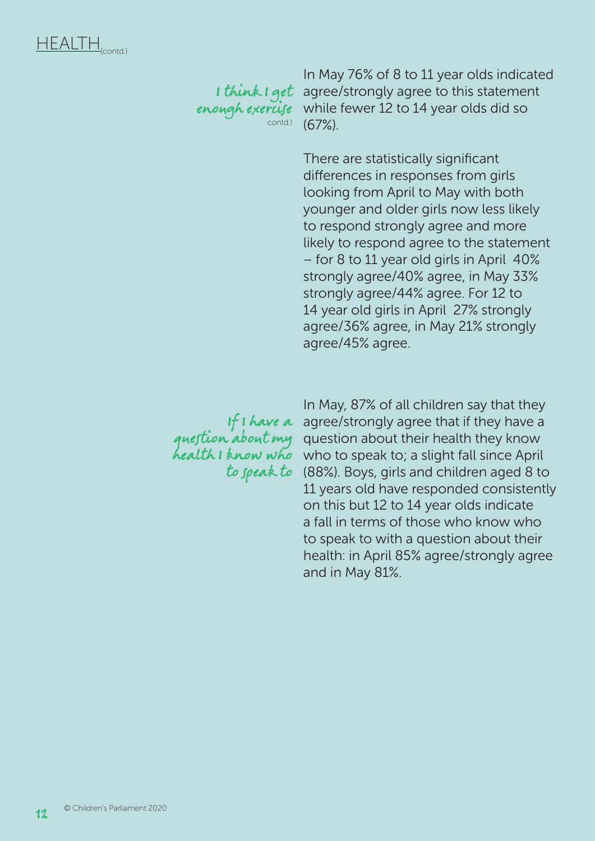I think I get enough exercise contd.)

In May 76% of 8 to 11 year olds indicated agree/strongly agree to this statement while fewer 12 to 14 year olds did so (67%).

There are statistically significant differences in responses from girls looking from April to May with both younger and older girls now less likely to respond strongly agree and more likely to respond agree to the statement – for 8 to 11 year old girls in April 40% strongly agree/40% agree, in May 33% strongly agree/44% agree. For 12 to 14 year old girls in April 27% strongly agree/36% agree, in May 21% strongly agree/45% agree.

If I have a question about my health I know who to speak to

In May, 87% of all children say that they agree/strongly agree that if they have a question about their health they know who to speak to; a slight fall since April (88%). Boys, girls and children aged 8 to 11 years old have responded consistently on this but 12 to 14 year olds indicate a fall in terms of those who know who to speak to with a question about their health: in April 85% agree/strongly agree and in May 81%.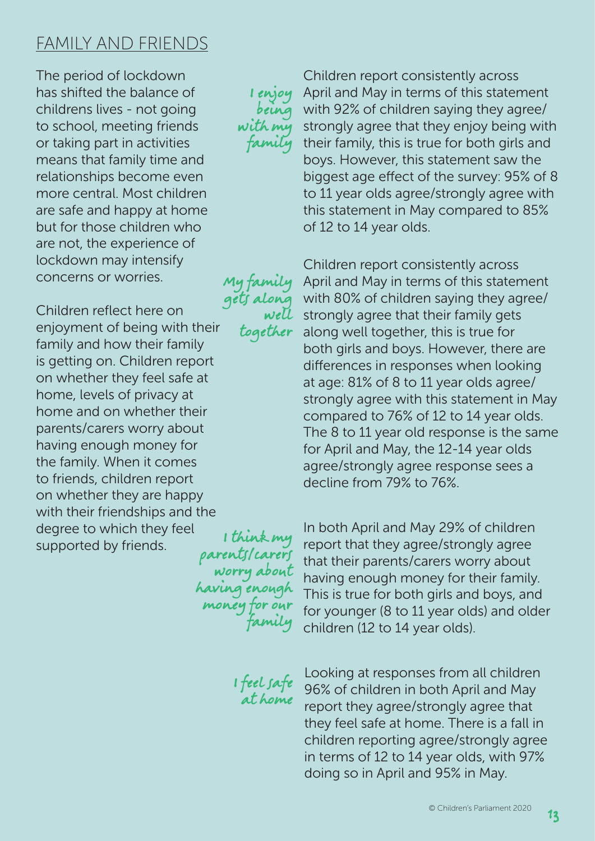## FAMILY AND FRIENDS

The period of lockdown has shifted the balance of childrens lives - not going to school, meeting friends or taking part in activities means that family time and relationships become even more central. Most children are safe and happy at home but for those children who are not, the experience of lockdown may intensify concerns or worries.

Children reflect here on enjoyment of being with their family and how their family is getting on. Children report on whether they feel safe at home, levels of privacy at home and on whether their parents/carers worry about having enough money for the family. When it comes to friends, children report on whether they are happy with their friendships and the degree to which they feel supported by friends. gets along

I think my parents/ca worry about having enough money family

I enjoy being

with my

My family

well together

family

I feel safe at home

Children report consistently across April and May in terms of this statement with 92% of children saying they agree/ strongly agree that they enjoy being with their family, this is true for both girls and boys. However, this statement saw the biggest age effect of the survey: 95% of 8 to 11 year olds agree/strongly agree with this statement in May compared to 85% of 12 to 14 year olds.

Children report consistently across April and May in terms of this statement with 80% of children saying they agree/ strongly agree that their family gets along well together, this is true for both girls and boys. However, there are differences in responses when looking at age: 81% of 8 to 11 year olds agree/ strongly agree with this statement in May compared to 76% of 12 to 14 year olds. The 8 to 11 year old response is the same for April and May, the 12-14 year olds agree/strongly agree response sees a decline from 79% to 76%.

In both April and May 29% of children report that they agree/strongly agree that their parents/carers worry about having enough money for their family. This is true for both girls and boys, and for younger (8 to 11 year olds) and older children (12 to 14 year olds).

Looking at responses from all children 96% of children in both April and May report they agree/strongly agree that they feel safe at home. There is a fall in children reporting agree/strongly agree in terms of 12 to 14 year olds, with 97% doing so in April and 95% in May.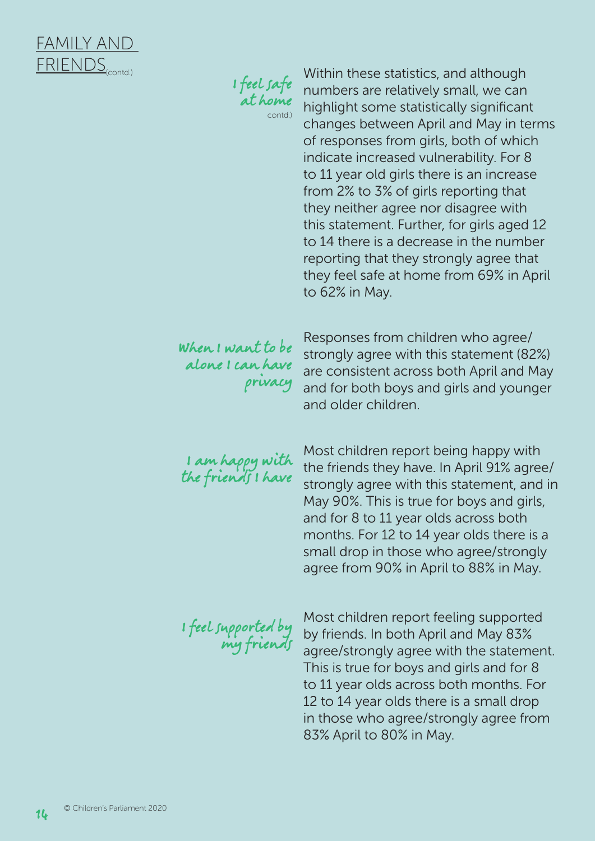

I feel safe at home contd.)

Within these statistics, and although numbers are relatively small, we can highlight some statistically significant changes between April and May in terms of responses from girls, both of which indicate increased vulnerability. For 8 to 11 year old girls there is an increase from 2% to 3% of girls reporting that they neither agree nor disagree with this statement. Further, for girls aged 12 to 14 there is a decrease in the number reporting that they strongly agree that they feel safe at home from 69% in April to 62% in May.

When I want to be alone I can have privacy

Responses from children who agree/ strongly agree with this statement (82%) are consistent across both April and May and for both boys and girls and younger and older children.

I am happy with the friends I have

Most children report being happy with the friends they have. In April 91% agree/ strongly agree with this statement, and in May 90%. This is true for boys and girls, and for 8 to 11 year olds across both months. For 12 to 14 year olds there is a small drop in those who agree/strongly agree from 90% in April to 88% in May.

I feel supported by my friends

Most children report feeling supported by friends. In both April and May 83% agree/strongly agree with the statement. This is true for boys and girls and for 8 to 11 year olds across both months. For 12 to 14 year olds there is a small drop in those who agree/strongly agree from 83% April to 80% in May.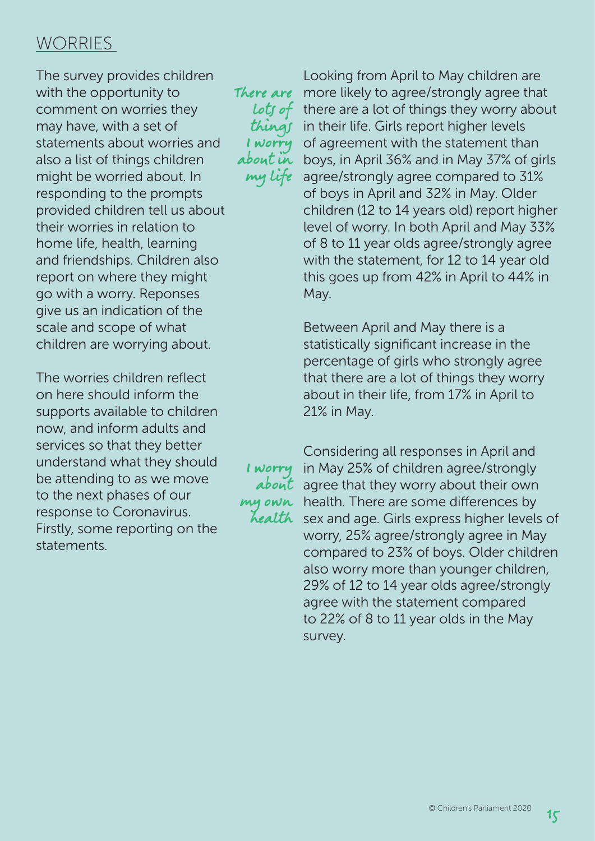## WORRIES

The survey provides children with the opportunity to comment on worries they may have, with a set of statements about worries and also a list of things children might be worried about. In responding to the prompts provided children tell us about their worries in relation to home life, health, learning and friendships. Children also report on where they might go with a worry. Reponses give us an indication of the scale and scope of what children are worrying about.

The worries children reflect on here should inform the supports available to children now, and inform adults and services so that they better understand what they should be attending to as we move to the next phases of our response to Coronavirus. Firstly, some reporting on the statements.

There are lots of things I worry about in my life

> I worry about

Looking from April to May children are more likely to agree/strongly agree that there are a lot of things they worry about in their life. Girls report higher levels of agreement with the statement than boys, in April 36% and in May 37% of girls agree/strongly agree compared to 31% of boys in April and 32% in May. Older children (12 to 14 years old) report higher level of worry. In both April and May 33% of 8 to 11 year olds agree/strongly agree with the statement, for 12 to 14 year old this goes up from 42% in April to 44% in May.

Between April and May there is a statistically significant increase in the percentage of girls who strongly agree that there are a lot of things they worry about in their life, from 17% in April to 21% in May.

Considering all responses in April and in May 25% of children agree/strongly agree that they worry about their own my own health. There are some differences by health sex and age. Girls express higher levels of worry, 25% agree/strongly agree in May compared to 23% of boys. Older children also worry more than younger children, 29% of 12 to 14 year olds agree/strongly agree with the statement compared to 22% of 8 to 11 year olds in the May survey.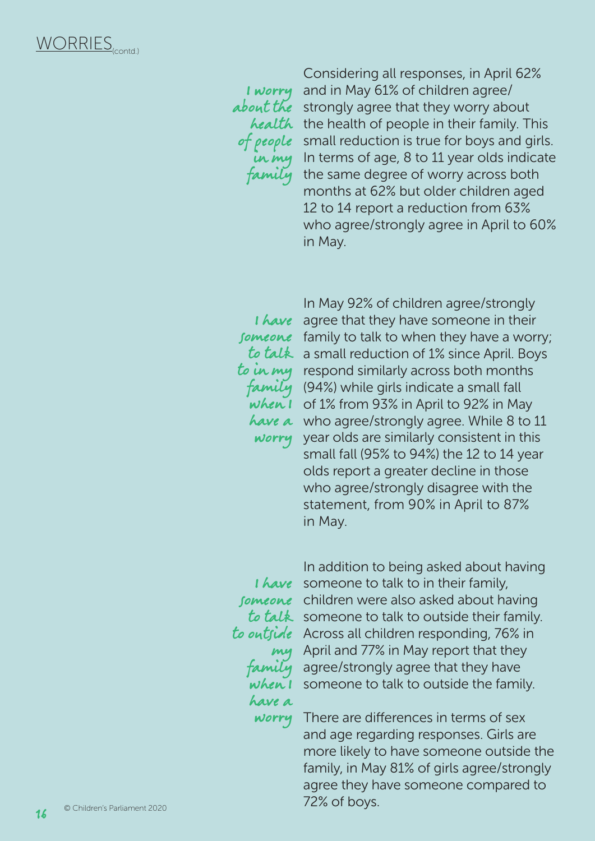I worry about the of people in my family

Considering all responses, in April 62% and in May 61% of children agree/ strongly agree that they worry about health the health of people in their family. This small reduction is true for boys and girls. In terms of age, 8 to 11 year olds indicate the same degree of worry across both months at 62% but older children aged 12 to 14 report a reduction from 63% who agree/strongly agree in April to 60% in May.

when I worry

In May 92% of children agree/strongly I have agree that they have someone in their fomeone family to talk to when they have a worry; to talk a small reduction of 1% since April. Boys to in my respond similarly across both months *family* (94%) while girls indicate a small fall of 1% from 93% in April to 92% in May have a who agree/strongly agree. While 8 to 11 year olds are similarly consistent in this small fall (95% to 94%) the 12 to 14 year olds report a greater decline in those who agree/strongly disagree with the statement, from 90% in April to 87% in May.

my family when I have a worry

In addition to being asked about having I have someone to talk to in their family, fomconc children were also asked about having to talk someone to talk to outside their family. to outside Across all children responding, 76% in April and 77% in May report that they agree/strongly agree that they have someone to talk to outside the family.

> There are differences in terms of sex and age regarding responses. Girls are more likely to have someone outside the family, in May 81% of girls agree/strongly agree they have someone compared to 72% of boys.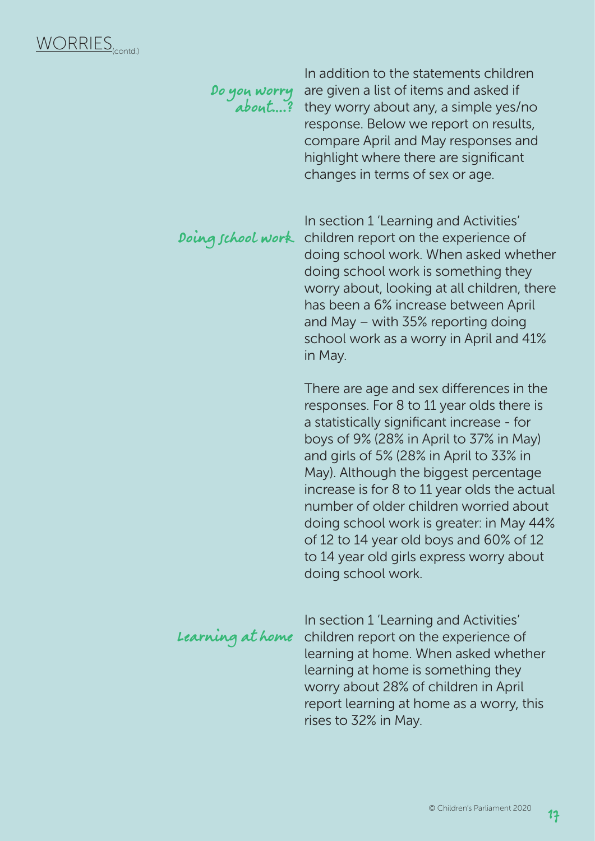|                   | In addition to the statements children<br>Do you worry are given a list of items and asked in<br>about? they worry about any, a simple yes/no<br>response. Below we report on results,<br>compare April and May responses and<br>highlight where there are significant<br>changes in terms of sex or age.                                                                                                                                                                                                             |
|-------------------|-----------------------------------------------------------------------------------------------------------------------------------------------------------------------------------------------------------------------------------------------------------------------------------------------------------------------------------------------------------------------------------------------------------------------------------------------------------------------------------------------------------------------|
| Doing school work | In section 1 'Learning and Activities'<br>children report on the experience of<br>doing school work. When asked whether<br>doing school work is something they<br>worry about, looking at all children, there<br>has been a 6% increase between April<br>and May – with 35% reporting doing<br>school work as a worry in April and 41%<br>in May.                                                                                                                                                                     |
|                   | There are age and sex differences in the<br>responses. For 8 to 11 year olds there is<br>a statistically significant increase - for<br>boys of 9% (28% in April to 37% in May)<br>and girls of 5% (28% in April to 33% in<br>May). Although the biggest percentage<br>increase is for 8 to 11 year olds the actual<br>number of older children worried about<br>doing school work is greater: in May 44%<br>of 12 to 14 year old boys and 60% of 12<br>to 14 year old girls express worry about<br>doing school work. |
| Learning at home  | In section 1 'Learning and Activities'<br>children report on the experience of<br>learning at home. When asked whether<br>learning at home is something they<br>worry about 28% of children in April<br>report learning at home as a worry, this<br>rises to 32% in May.                                                                                                                                                                                                                                              |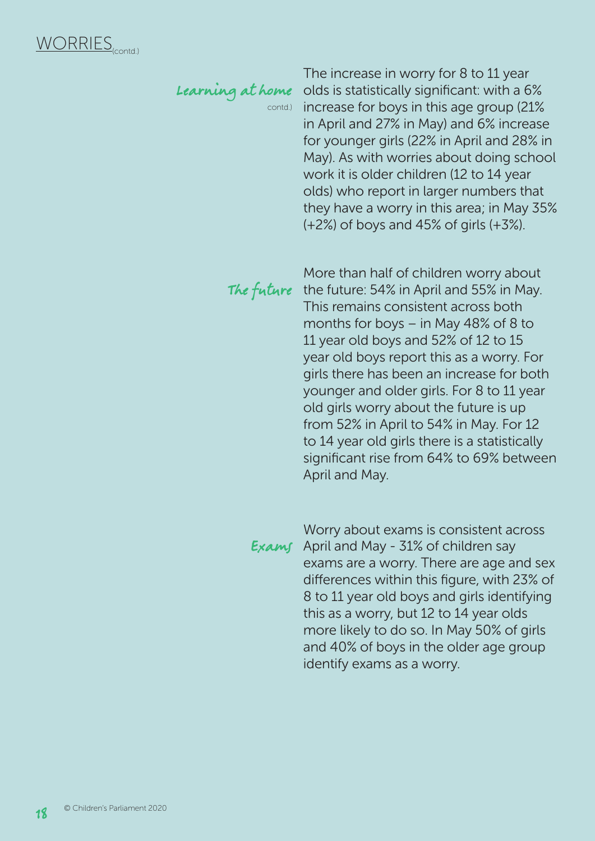# Learning at home

contd.)

The increase in worry for 8 to 11 year olds is statistically significant: with a 6% increase for boys in this age group (21% in April and 27% in May) and 6% increase for younger girls (22% in April and 28% in May). As with worries about doing school work it is older children (12 to 14 year olds) who report in larger numbers that they have a worry in this area; in May 35% (+2%) of boys and 45% of girls (+3%).

The future

More than half of children worry about the future: 54% in April and 55% in May. This remains consistent across both months for boys – in May 48% of 8 to 11 year old boys and 52% of 12 to 15 year old boys report this as a worry. For girls there has been an increase for both younger and older girls. For 8 to 11 year old girls worry about the future is up from 52% in April to 54% in May. For 12 to 14 year old girls there is a statistically significant rise from 64% to 69% between April and May.

Worry about exams is consistent across Exams April and May -  $31\%$  of children say exams are a worry. There are age and sex differences within this figure, with 23% of 8 to 11 year old boys and girls identifying this as a worry, but 12 to 14 year olds more likely to do so. In May 50% of girls and 40% of boys in the older age group identify exams as a worry.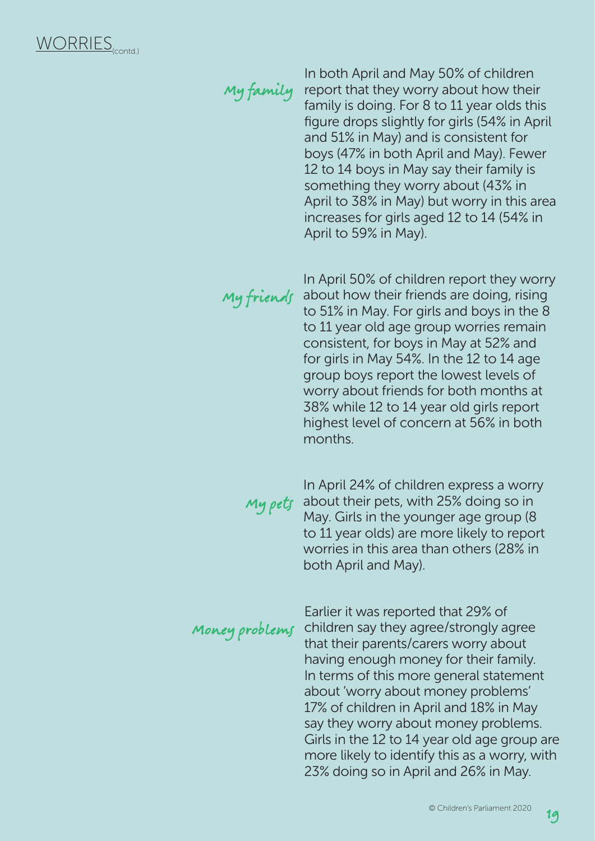In both April and May 50% of children report that they worry about how their family is doing. For 8 to 11 year olds this figure drops slightly for girls (54% in April and 51% in May) and is consistent for boys (47% in both April and May). Fewer 12 to 14 boys in May say their family is something they worry about (43% in April to 38% in May) but worry in this area increases for girls aged 12 to 14 (54% in April to 59% in May). My family

My friends

In April 50% of children report they worry about how their friends are doing, rising to 51% in May. For girls and boys in the 8 to 11 year old age group worries remain consistent, for boys in May at 52% and for girls in May 54%. In the 12 to 14 age group boys report the lowest levels of worry about friends for both months at 38% while 12 to 14 year old girls report highest level of concern at 56% in both months.

In April 24% of children express a worry  $My$  pets about their pets, with 25% doing so in May. Girls in the younger age group (8 to 11 year olds) are more likely to report worries in this area than others (28% in both April and May).

Earlier it was reported that 29% of children say they agree/strongly agree that their parents/carers worry about having enough money for their family. In terms of this more general statement about 'worry about money problems' 17% of children in April and 18% in May say they worry about money problems. Girls in the 12 to 14 year old age group are more likely to identify this as a worry, with 23% doing so in April and 26% in May. Money problems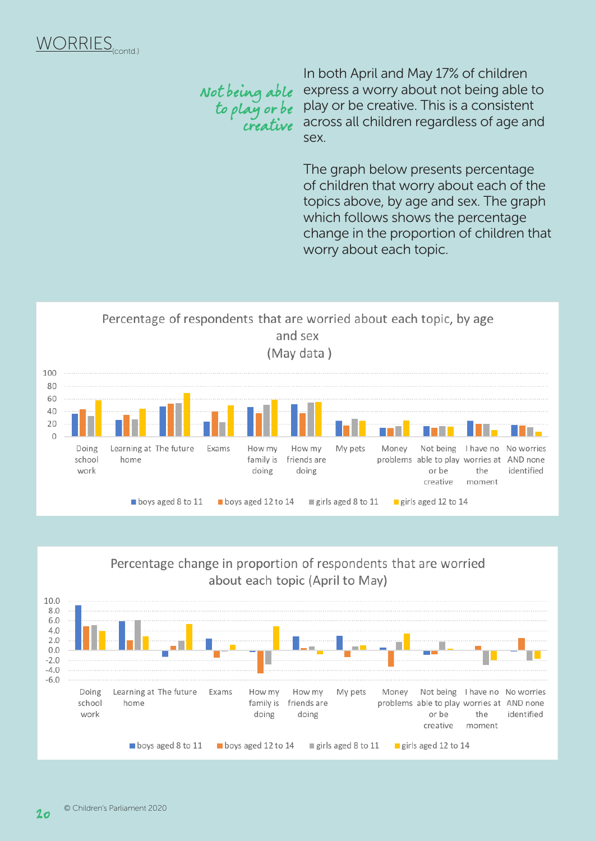## Not being able to play or be creative

In both April and May 17% of children express a worry about not being able to play or be creative. This is a consistent across all children regardless of age and sex.

The graph below presents percentage of children that worry about each of the topics above, by age and sex. The graph which follows shows the percentage change in the proportion of children that worry about each topic.





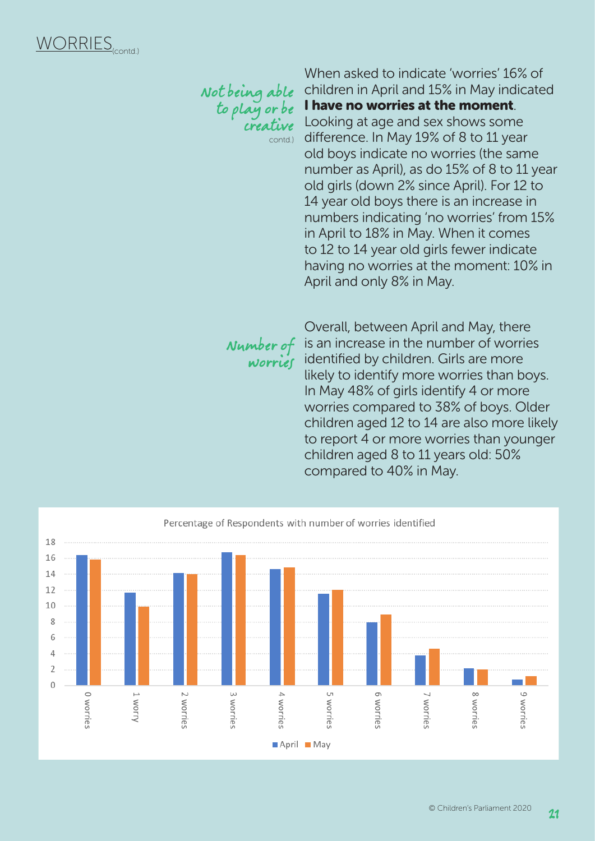Not being able to play or be creative contd.)

When asked to indicate 'worries' 16% of children in April and 15% in May indicated I have no worries at the moment. Looking at age and sex shows some difference. In May 19% of 8 to 11 year old boys indicate no worries (the same number as April), as do 15% of 8 to 11 year old girls (down 2% since April). For 12 to 14 year old boys there is an increase in numbers indicating 'no worries' from 15% in April to 18% in May. When it comes to 12 to 14 year old girls fewer indicate having no worries at the moment: 10% in April and only 8% in May.

worries

Overall, between April and May, there **Number of** is an increase in the number of worries identified by children. Girls are more likely to identify more worries than boys. In May 48% of girls identify 4 or more worries compared to 38% of boys. Older children aged 12 to 14 are also more likely to report 4 or more worries than younger children aged 8 to 11 years old: 50% compared to 40% in May.

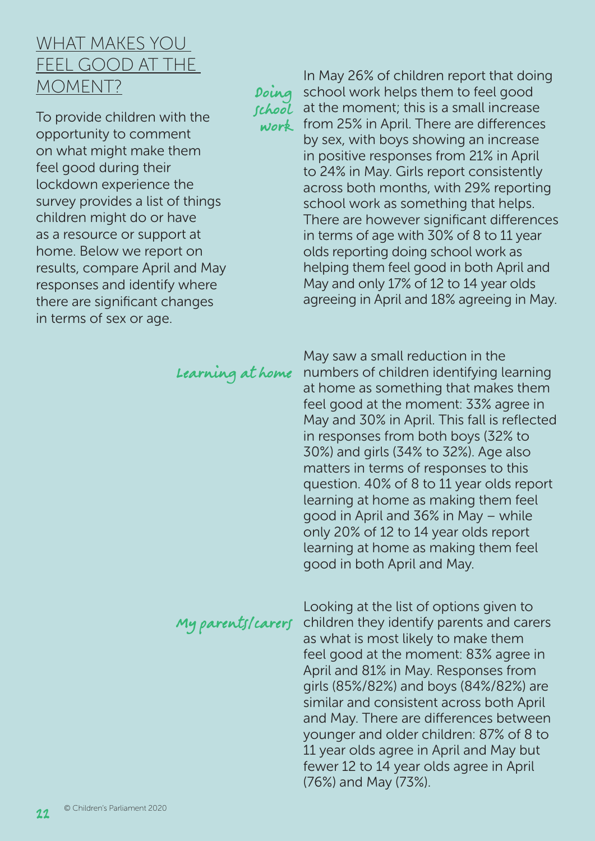## WHAT MAKES YOU FEEL GOOD AT THE MOMENT?

To provide children with the opportunity to comment on what might make them feel good during their lockdown experience the survey provides a list of things children might do or have as a resource or support at home. Below we report on results, compare April and May responses and identify where there are significant changes in terms of sex or age.

Doing school

In May 26% of children report that doing school work helps them to feel good at the moment; this is a small increase work from 25% in April. There are differences by sex, with boys showing an increase in positive responses from 21% in April to 24% in May. Girls report consistently across both months, with 29% reporting school work as something that helps. There are however significant differences in terms of age with 30% of 8 to 11 year olds reporting doing school work as helping them feel good in both April and May and only 17% of 12 to 14 year olds agreeing in April and 18% agreeing in May.

## Learning at home

May saw a small reduction in the numbers of children identifying learning at home as something that makes them feel good at the moment: 33% agree in May and 30% in April. This fall is reflected in responses from both boys (32% to 30%) and girls (34% to 32%). Age also matters in terms of responses to this question. 40% of 8 to 11 year olds report learning at home as making them feel good in April and 36% in May – while only 20% of 12 to 14 year olds report learning at home as making them feel good in both April and May.

# My parents/carers

Looking at the list of options given to children they identify parents and carers as what is most likely to make them feel good at the moment: 83% agree in April and 81% in May. Responses from girls (85%/82%) and boys (84%/82%) are similar and consistent across both April and May. There are differences between younger and older children: 87% of 8 to 11 year olds agree in April and May but fewer 12 to 14 year olds agree in April (76%) and May (73%).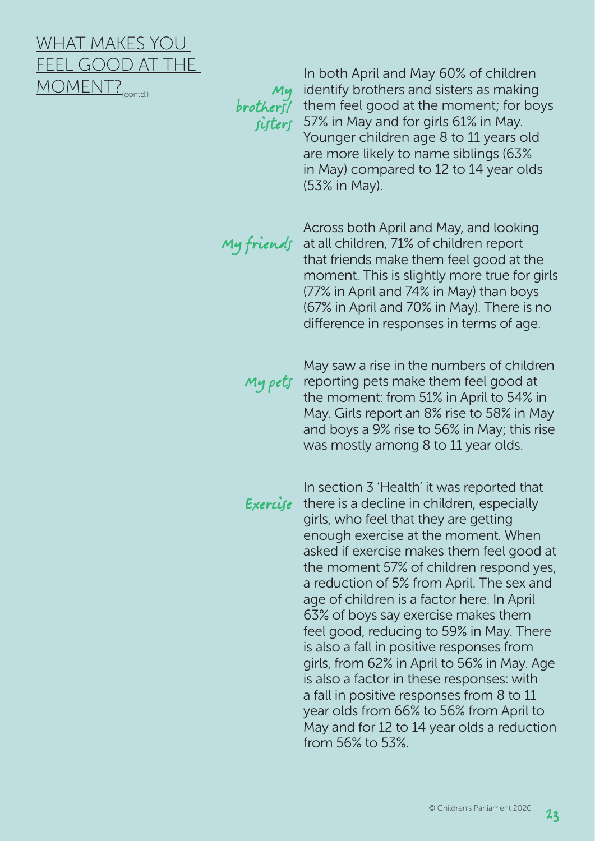## WHAT MAKES YOU FEEL GOOD AT THE MOMENT?<sub>(contd.)</sub>

My

In both April and May 60% of children identify brothers and sisters as making brothers / them feel good at the moment; for boys *fisters* 57% in May and for girls 61% in May. Younger children age 8 to 11 years old are more likely to name siblings (63% in May) compared to 12 to 14 year olds (53% in May).

Across both April and May, and looking  $My$  friends at all children, 71% of children report that friends make them feel good at the moment. This is slightly more true for girls (77% in April and 74% in May) than boys (67% in April and 70% in May). There is no difference in responses in terms of age.

May saw a rise in the numbers of children reporting pets make them feel good at the moment: from 51% in April to 54% in May. Girls report an 8% rise to 58% in May and boys a 9% rise to 56% in May; this rise was mostly among 8 to 11 year olds. My pets

In section 3 'Health' it was reported that **Exercife** there is a decline in children, especially girls, who feel that they are getting enough exercise at the moment. When asked if exercise makes them feel good at the moment 57% of children respond yes, a reduction of 5% from April. The sex and age of children is a factor here. In April 63% of boys say exercise makes them feel good, reducing to 59% in May. There is also a fall in positive responses from girls, from 62% in April to 56% in May. Age is also a factor in these responses: with a fall in positive responses from 8 to 11 year olds from 66% to 56% from April to May and for 12 to 14 year olds a reduction from 56% to 53%.